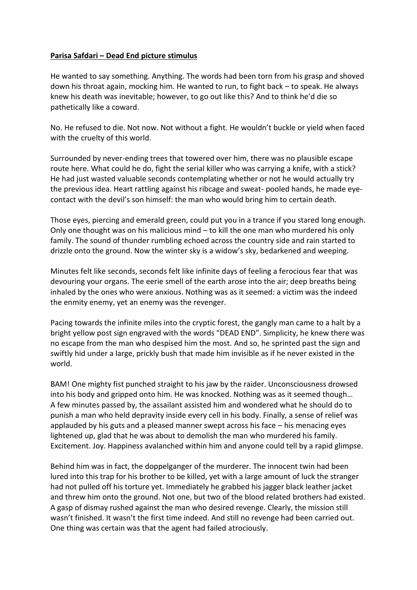## **Parisa Safdari – Dead End picture stimulus**

He wanted to say something. Anything. The words had been torn from his grasp and shoved down his throat again, mocking him. He wanted to run, to fight back – to speak. He always knew his death was inevitable; however, to go out like this? And to think he'd die so pathetically like a coward.

No. He refused to die. Not now. Not without a fight. He wouldn't buckle or yield when faced with the cruelty of this world.

Surrounded by never-ending trees that towered over him, there was no plausible escape route here. What could he do, fight the serial killer who was carrying a knife, with a stick? He had just wasted valuable seconds contemplating whether or not he would actually try the previous idea. Heart rattling against his ribcage and sweat- pooled hands, he made eyecontact with the devil's son himself: the man who would bring him to certain death.

Those eyes, piercing and emerald green, could put you in a trance if you stared long enough. Only one thought was on his malicious mind – to kill the one man who murdered his only family. The sound of thunder rumbling echoed across the country side and rain started to drizzle onto the ground. Now the winter sky is a widow's sky, bedarkened and weeping.

Minutes felt like seconds, seconds felt like infinite days of feeling a ferocious fear that was devouring your organs. The eerie smell of the earth arose into the air; deep breaths being inhaled by the ones who were anxious. Nothing was as it seemed: a victim was the indeed the enmity enemy, yet an enemy was the revenger.

Pacing towards the infinite miles into the cryptic forest, the gangly man came to a halt by a bright yellow post sign engraved with the words "DEAD END". Simplicity, he knew there was no escape from the man who despised him the most. And so, he sprinted past the sign and swiftly hid under a large, prickly bush that made him invisible as if he never existed in the world.

BAM! One mighty fist punched straight to his jaw by the raider. Unconsciousness drowsed into his body and gripped onto him. He was knocked. Nothing was as it seemed though… A few minutes passed by, the assailant assisted him and wondered what he should do to punish a man who held depravity inside every cell in his body. Finally, a sense of relief was applauded by his guts and a pleased manner swept across his face – his menacing eyes lightened up, glad that he was about to demolish the man who murdered his family. Excitement. Joy. Happiness avalanched within him and anyone could tell by a rapid glimpse.

Behind him was in fact, the doppelganger of the murderer. The innocent twin had been lured into this trap for his brother to be killed, yet with a large amount of luck the stranger had not pulled off his torture yet. Immediately he grabbed his jagger black leather jacket and threw him onto the ground. Not one, but two of the blood related brothers had existed. A gasp of dismay rushed against the man who desired revenge. Clearly, the mission still wasn't finished. It wasn't the first time indeed. And still no revenge had been carried out. One thing was certain was that the agent had failed atrociously.